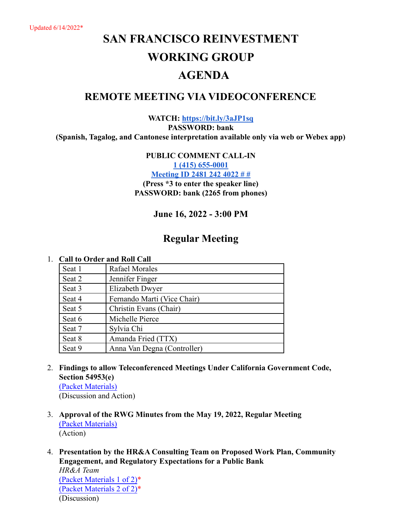Updated 6/14/2022\*

# **SAN FRANCISCO REINVESTMENT WORKING GROUP AGENDA**

## **REMOTE MEETING VIA VIDEOCONFERENCE**

**WATCH: <https://bit.ly/3aJP1sq> PASSWORD: bank (Spanish, Tagalog, and Cantonese interpretation available only via web or Webex app)**

## **PUBLIC COMMENT CALL-IN**

**[1 \(415\) 655-0001](tel:+14156550001,,24812424022#,,#)**

**[Meeting ID 2481 242 4022 # #](tel:+14156550001,,24812424022#,,#)**

**(Press \*3 to enter the speaker line) PASSWORD: bank (2265 from phones)**

## **June 16, 2022 - 3:00 PM**

## **Regular Meeting**

#### 1. **Call to Order and Roll Call**

| Seat 1 | <b>Rafael Morales</b>       |
|--------|-----------------------------|
| Seat 2 | Jennifer Finger             |
| Seat 3 | Elizabeth Dwyer             |
| Seat 4 | Fernando Marti (Vice Chair) |
| Seat 5 | Christin Evans (Chair)      |
| Seat 6 | Michelle Pierce             |
| Seat 7 | Sylvia Chi                  |
| Seat 8 | Amanda Fried (TTX)          |
| Seat 9 | Anna Van Degna (Controller) |

## 2. **Findings to allow Teleconferenced Meetings Under California Government Code, Section 54953(e)** [\(Packet Materials\)](https://sfgov.org/lafco/sites/default/files/rwg061622_item2.pdf)

(Discussion and Action)

- 3. **Approval of the RWG Minutes from the May 19, 2022, Regular Meeting** [\(Packet Materials\)](https://sfgov.org/lafco/sites/default/files/rwg061622_item3.pdf) (Action)
- 4. **Presentation by the HR&A Consulting Team on Proposed Work Plan, Community Engagement, and Regulatory Expectations for a Public Bank**

*HR&A Team* [\(Packet Materials](https://sfgov.org/lafco/sites/default/files/rwg061622_item3_1of2.pdf) 1 of 2)\* [\(Packet Materials 2 of 2\)\\*](https://sfgov.org/lafco/sites/default/files/rwg061622_item3_2of2.pdf) (Discussion)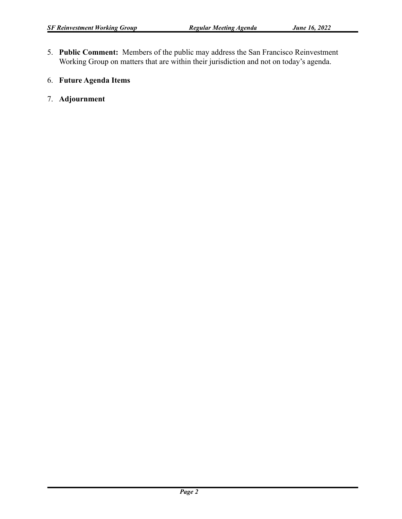- 5. **Public Comment:** Members of the public may address the San Francisco Reinvestment Working Group on matters that are within their jurisdiction and not on today's agenda.
- 6. **Future Agenda Items**
- 7. **Adjournment**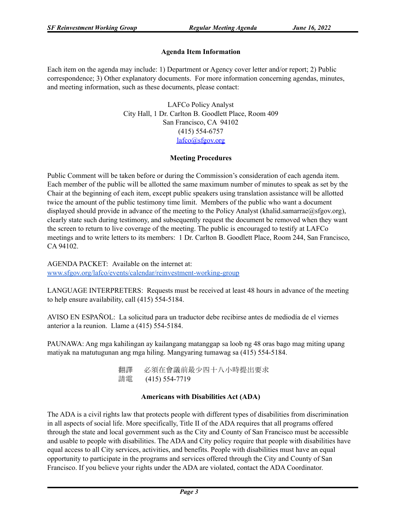## **Agenda Item Information**

Each item on the agenda may include: 1) Department or Agency cover letter and/or report; 2) Public correspondence; 3) Other explanatory documents. For more information concerning agendas, minutes, and meeting information, such as these documents, please contact:

> LAFCo Policy Analyst City Hall, 1 Dr. Carlton B. Goodlett Place, Room 409 San Francisco, CA 94102 (415) 554-6757 [lafco@sfgov.org](mailto:lafco@sfgov.org)

#### **Meeting Procedures**

Public Comment will be taken before or during the Commission's consideration of each agenda item. Each member of the public will be allotted the same maximum number of minutes to speak as set by the Chair at the beginning of each item, except public speakers using translation assistance will be allotted twice the amount of the public testimony time limit. Members of the public who want a document displayed should provide in advance of the meeting to the Policy Analyst (khalid.samarrae@sfgov.org), clearly state such during testimony, and subsequently request the document be removed when they want the screen to return to live coverage of the meeting. The public is encouraged to testify at LAFCo meetings and to write letters to its members: 1 Dr. Carlton B. Goodlett Place, Room 244, San Francisco, CA 94102.

AGENDA PACKET: Available on the internet at: [www.sfgov.org/lafco/events/calendar/reinvestment-working-group](http://www.sfgov.org/lafco/events/calendar/reinvestment-working-group)

LANGUAGE INTERPRETERS: Requests must be received at least 48 hours in advance of the meeting to help ensure availability, call (415) 554-5184.

AVISO EN ESPAÑOL: La solicitud para un traductor debe recibirse antes de mediodía de el viernes anterior a la reunion. Llame a (415) 554-5184.

PAUNAWA: Ang mga kahilingan ay kailangang matanggap sa loob ng 48 oras bago mag miting upang matiyak na matutugunan ang mga hiling. Mangyaring tumawag sa (415) 554-5184.

> 翻譯 必須在會議前最少四十八小時提出要求 請電 (415) 554-7719

### **Americans with Disabilities Act (ADA)**

The ADA is a civil rights law that protects people with different types of disabilities from discrimination in all aspects of social life. More specifically, Title II of the ADA requires that all programs offered through the state and local government such as the City and County of San Francisco must be accessible and usable to people with disabilities. The ADA and City policy require that people with disabilities have equal access to all City services, activities, and benefits. People with disabilities must have an equal opportunity to participate in the programs and services offered through the City and County of San Francisco. If you believe your rights under the ADA are violated, contact the ADA Coordinator.